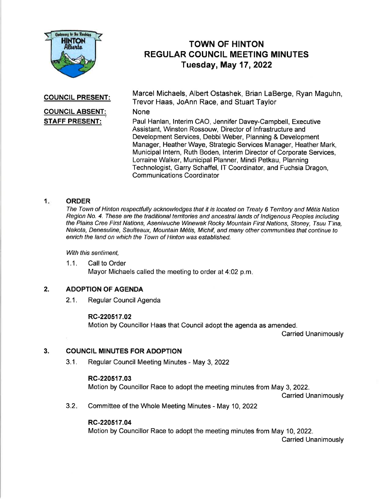

# TOWN OF HINTON REGULAR COUNCIL MEETING MINUTES Tuesday, May 17,2022

## COUNCIL PRESENT:

Marcel Michaels, Albert Ostashek, Brian LaBerge, Ryan Maguhn, Trevor Haas, JoAnn Race, and Stuart Taylor

## None

COUNCIL ABSENT: STAFF PRESENT:

Paul Hanlan, lnterim CAO, Jennifer Davey-Campbell, Executive Assistant, Winston Rossouw, Director of lnfrastructure and Development Services, Debbi Weber, Planning & Development Manager, Heather Waye, Strategic Services Manager, Heather Mark, Municipal lntern, Ruth Boden, lnterim Director of Corporate Services, Lorraine Walker, Municipal Planner, Mindi Petkau, Planning Technologist, Garry Schaffel, lT Coordinator, and Fuchsia Dragon, Communications Coordinator

## <sup>1</sup> ORDER

The Town of Hinton respectfully acknowledges that it is located on Treaty 6 Territory and Métis Nation Region No. 4. These are the traditional territories and ancestral lands of Indigenous Peoples including the Plains Cree First Nations, Aseniwuche Winewak Rocky Mountain First Nations, Stoney, Tsuu T'ina, Nakota, Denesuline, Saulteaux, Mountain M6tis, Michif, and many other communities that continue to enrich the land on which the Town of Hinton was established.

With this sentiment,

1.1. Call to Order Mayor Michaels called the meeting to order at 4:02 p.m

#### 2. ADOPTION OF AGENDA

2.1. Regular Council Agenda

## RC-220517.02

Motion by Councillor Haas that Council adopt the agenda as amended.

Carried Unanimously

#### 3. COUNCIL MINUTES FOR ADOPTION

3.1. Regular Council Meeting Minutes - May 3,2022

## RC-220517.03

Motion by Councillor Race to adopt the meeting minutes from May 3,2022.

Carried Unanimously

 $3.2.$ Committee of the Whole Meeting Minutes - May 10,2022

## RC-220517.04

Motion by Councillor Race to adopt the meeting minutes from May 10, 2022. Carried Unanimously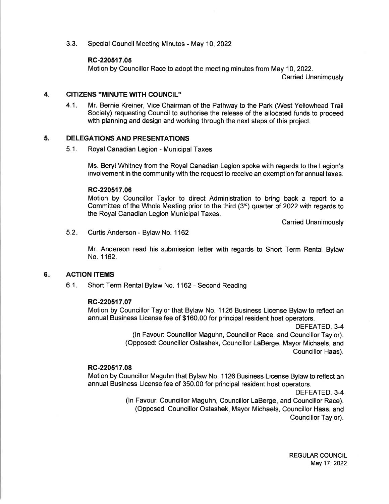3.3. Special Council Meeting Minutes - May 10,2022

## RC-220517.05

Motion by Councillor Race to adopt the meeting minutes from May 10, 2022.

Carried Unanimously

#### 4. CITIZENS ''MINUTE WITH COUNCIL"

4.1. Mr. Bernie Kreiner, Vice Chairman of the Pathway to the Park (West Yellowhead Trail Society) requesting Council to authorise the release of the allocated funds to proceed with planning and design and working through the next steps of this project.

#### 5. DELEGATIONS AND PRESENTATIONS

5.1. Royal Canadian Legion - Municipal Taxes

Ms. Beryl Whitney from the Royal Canadian Legion spoke with regards to the Legion's involvement in the community with the request to receive an exemption for annual taxes.

## RC-220517.06

Motion by Councillor Taylor to direct Administration to bring back a report to a Committee of the Whole Meeting prior to the third  $(3<sup>rd</sup>)$  quarter of 2022 with regards to the Royal Canadian Legion Municipal Taxes.

Carried Unanimously

 $5.2.$ Curtis Anderson - Bylaw No. 1162

> Mr. Anderson read his submission letter with regards to Short Term Rental Bylaw No.1162.

#### ACTION ITEMS 6

6.1. Short Term Rental Bylaw No. 1162 - Second Reading

## RC-220517.07

Motion by Councillor Taylor that Bylaw No. 1126 Business License Bylaw to reflect an annual Business License fee of \$160.00 for principal resident host operators.

> DEFEATED.3-4 (ln Favour: Councillor Maguhn, Councillor Race, and Councillor Taylor). (Opposed: Councillor Ostashek, Councillor LaBerge, Mayor Michaels, and Councillor Haas).

## RC-220517.08

Motion by Councillor Maguhn that Bylaw No. 1 126 Business License Bylaw to reflect an annual Business License fee of 350.00 for principal resident host operators.

DEFEATED. 3-4

(ln Favour. Councillor Maguhn, Councillor LaBerge, and Councillor Race). (Opposed: Councillor Ostashek, Mayor Michaels, Councillor Haas, and Councillor Taylor).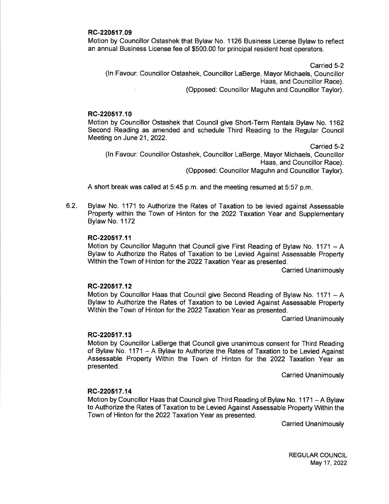## RC-220517.09

Motion by Councillor Ostashek that Bylaw No. 1126 Business License Bylaw to reflect an annual Business License fee of \$500.00 for principal resident host operators.

Carried 5-2 (ln Favour: Councillor Ostashek, Councillor LaBerge, Mayor Michaels, Councillor Haas, and Councillor Race). (Opposed: Councillor Maguhn and Councillor Taylor).

## RC-220517.10

Motion by Councillor Ostashek that Council give Short-Term Rentals Bylaw No. 1162 Second Reading as amended and schedule Third Reading to the Regular Council Meeting on June 21, 2022.

carried 5-2

(ln Favour: Councillor Ostashek, Councillor LaBerge, Mayor Michaels, Councillor Haas, and Councillor Race). (Opposed: Councillor Maguhn and Councillor Taylor).

A short break was called at 5:45 p.m. and the meeting resumed at 5:57 p.m

 $6.2.$ Bylaw No. 1171 to Authorize the Rates of Taxation to be levied against Assessable Property within the Town of Hinton for the 2022 faxation Year and Supplementary Bylaw No. 1172

## RC-220517.11

Motion by Councillor Maguhn that Council give First Reading of Bylaw No.  $1171 - A$ Bylaw to Authorize the Rates of Taxation to be Levied Against Assessable Property Within the Town of Hinton for the 2022 Taxation Year as presented.

Carried Unanimously

## RC-220517.12

Motion by Councillor Haas that Council give Second Reading of Bylaw No. 1171 - A Bylaw to Authorize the Rates of Taxation to be Levied Against Assessable Property Within the Town of Hinton for the 2022 Taxation Year as presented.

Carried Unanimously

## RC-220517.13

Motion by Councillor LaBerge that Council give unanimous consent for Third Reading of Bylaw No. 1171 - A Bylaw to Authorize the Rates of Taxation to be Levied Against Assessable Property Within the Town of Hinton for the 2022 Taxation Year as presented.

Carried Unanimously

## RC-220517.14

Motion by Councillor Haas that Council give Third Reading of Bylaw No. 1171 - A Bylaw to Authorize the Rates of Taxation to be Levied Against Assessable Property Within the Town of Hinton for the 2022 Taxation Year as presented.

Carried Unanimously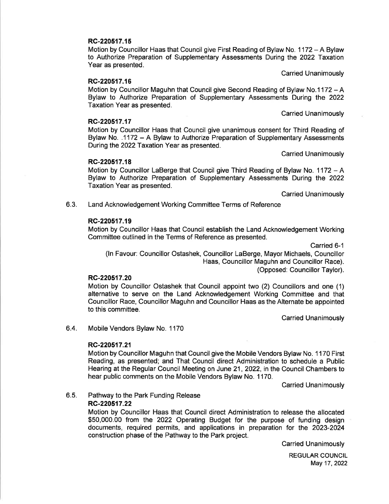## RC-220517.15

Motion by Councillor Haas that Council give First Reading of Bylaw No. 1 172 - A Bylaw to Authorize Preparation of Supplementary Assessments During the 2022 Taxation Year as presented.

Carried Unanimously

## RC-220517.16

Motion by Councillor Maguhn that Council give Second Reading of Bylaw No.1172 - <sup>A</sup> Bylaw to Authorize Preparation of Supplementary Assessments During the 2022 Taxation Year as presented.

Carried Unanimously

### RC-220517.17

Motion by Councillor Haas that Council give unanimous consent for Third Reading of Bylaw No. .1172 - A Bylaw to Authorize Preparation of Supplementary Assessments During the 2022 Taxation Year as presented.

Carried Unanimously

## RC-220517.18

Motion by Councillor LaBerge that Council give Third Reading of Bylaw No. 1172 - A Bylaw to Authorize Preparation of Supplementary Assessments During the 2022 Taxation Year as presented.

Carried Unanimously

6.3. Land Acknowledgement Working Committee Terms of Reference

## RC-220517.19

Motion by Councillor Haas that Council establish the Land Acknowledgement Working Committee outlined in the Terms of Reference as presented.

Carried 6-1

(ln Favour: Councillor Ostashek, Councillor LaBerge, Mayor Michaels, Councillor Haas, Councillor Maguhn and Councillor Race). (Opposed: Councillor Taylor).

## RC-220517.20

Motion by Councillor Ostashek that Council appoint two (2) Councillors and one (1) alternative to serve on the Land Acknowledgement Working Committee and that Councillor Race, Councillor Maguhn and Councillor Haas as the Alternate be appointed to this committee.

Carried Unanimously

6.4. Mobile Vendors Bylaw No. 1170

#### RC-220517.21

Motion by Councillor Maguhn that Council give the Mobile Vendors Bylaw No. 1 170 First Reading, as presented; and That Council direct Administration to schedule a Public Hearing at the Regular Council Meeting on June 21, 2022, in the Council Chambers to hear public comments on the Mobile Vendors Bylaw No. 1170.

**Carried Unanimously** 

#### 6.5. Pathway to the Park Funding Release

RC-220517.22

Motion by Councillor Haas that Council direct Administration to release the allocated \$50,000.00 from the 2022 Operating Budget for the purpose of funding design documents, required permits, and applications in preparation for the 2023-2024 construction phase of the Pathway to the Park project.

Carried Unanimously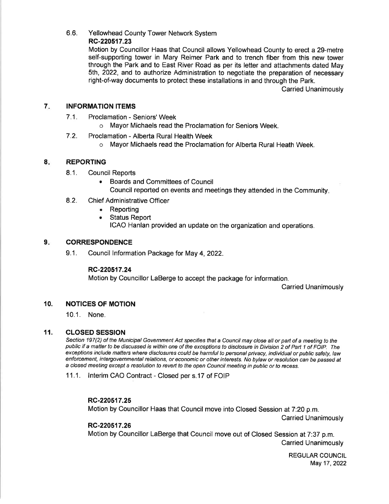## 6.6. Yellowhead County Tower Network System

## RC-220517.23

Motion by Councillor Haas that Council allows Yellowhead County to erect a 29-metre self-supporting tower in Mary Reimer Park and to trench fiber from this new tower through the Park and to East River Road as per its letter and attachments dated May sth, 2022, and to authorize Administration to negotiate the preparation of necessary right-of-way documents to protect these installations in and through the Park.

Carried Unanimously

#### 7 INFORMATION ITEMS

- 7.1. Proclamation Seniors' Week
	- o Mayor Michaels read the Proclamation for Seniors Week.
- 7.2. Proclamation Alberta Rural Health Week
	- o Mayor Michaels read the Proclamation for Alberta Rural Heath Week.

#### 8 REPORTING

- 8.1. Council Reports
	- . Boards and Committees of Council Council reported on events and meetings they attended in the Community
- 8.2. Chief Administrative Officer
	- . Reporting
	- . Status Report ICAO Hanlan provided an update on the organization and operations.

#### **CORRESPONDENCE**  $9<sub>z</sub>$

9.1. Council lnformation Package for May 4,2022.

## RC-220517.24

Motion by Councillor LaBerge to accept the package for information.

Carried Unanimously

#### NOTICES OF MOTION 10.

10.1. None.

#### **CLOSED SESSION** 11.

Section 197(2) of the Municipal Government Act specifies that a Council may close all or part of a meeting to the public if a matter to be discussed is within one of the exceptions to disclosure in Division 2 of Part 1 of FOIP. The exceptions include matters where disclosures could be harmful to personal privacy, individual or public safety, law enforcement, intergovernmental relations, or economic or other interesfs. No bylaw or resolution can be passed af a closed meeting except a resolution to reveft to the open Council meeting in public or fo recess.

11.1. lnterim CAO Contract - Closed per s.17 of FOIP

## RC-220517.25

Motion by Councillor Haas that Council move into Closed Session at 7:20 p.m.

Carried Unanimously

## RC-220517.26

Motion by Councillor LaBerge that Council move out of Closed Session at 7:37 p.m. Carried Unanimously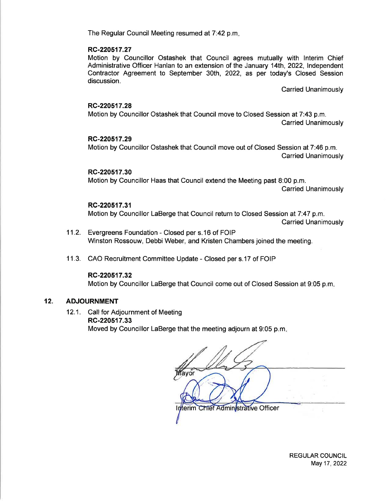The Regular Council Meeting resumed at 7:42 p.m.

## RC-220517.27

Motion by Councillor Ostashek that Council agrees mutually with lnterim Chief Administrative Officer Hanlan to an extension of the January 14th, 2022, Independent Contractor Agreement to September 30th, 2022, as per today's Closed Session discussion.

Carried Unanimously

## RC-220517.28

Motion by Councillor Ostashek that Council move to Closed Session at 7:43 p.m. Carried Unanimously

## RC-220517.29

Motion by Councillor Ostashek that Council move out of Closed Session at 7:46 p.m. Carried Unanimously

## RC-220517.30

Motion by Councillor Haas that Council extend the Meeting past 8:00 p.m. Carried Unanimously

## RC-220517.31

Motion by Councillor LaBerge that Council return to Closed Session at 7:47 p.m. Carried Unanimously

- 11.2. Evergreens Foundation Closed per s.16 of FOIP Winston Rossouw, Debbi Weber, and Kristen Chambers joined the meeting.
- <sup>1</sup>1.3. CAO Recruitment Committee Update Closed per s.17 of FOIP

## RC-220517.32

Motion by Councillor LaBerge that Council come out of Closed Session at 9:05 p.m

#### 12. ADJOURNMENT

12.1. Call for Adjournment of Meeting RC-220517.33 Moved by Councillor LaBerge that the meeting adjourn at 9:05 p.m

Interim Chief Administrative Officer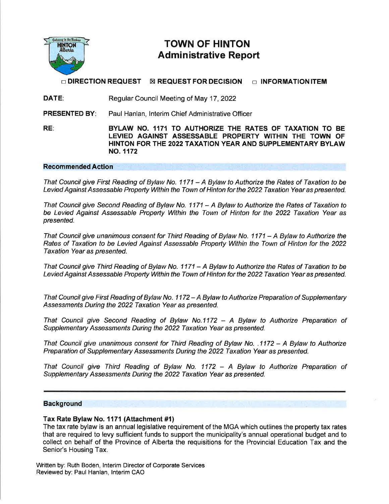

# TOWN OF HINTON Administrative Report

 $\Box$  DIRECTION REQUEST  $\boxtimes$  REQUEST FOR DECISION  $\Box$  INFORMATION ITEM

DATE: Regular Council Meeting of May 17,2022

PRESENTED BY Paul Hanlan, lnterim Chief Administrative Officer

RE: BYLAW NO. 1171 TO AUTHORIZE THE RATES OF TAXATION TO BE LEVIED AGAINST ASSESSABLE PROPERTY WITHIN THE TOWN OF HINTON FOR THE 2022 TAXATION YEAR AND SUPPLEMENTARY BYLAW NO. 1172

## Recommended Action

That Council give First Reading of Bylaw No. 1171 - A Bylaw to Authorize the Rates of Taxation to be Levied Against Assessable Property Within the Town of Hinton for the 2022 Taxation Year as presented.

That Council give Second Reading of Bylaw No. 1171 - A Bylaw to Authorize fhe Rafes of Taxation to be Levied Against Assessable Property Within the Town of Hinton for the 2022 Taxation Year as presented.

That Council give unanimous consent for Third Reading of Bylaw No. 1171 - A Bylaw to Authorize the Rates of Taxation to be Levied Against Assessable Property Within the Town of Hinton for the 2022 Taxation Year as presented.

That Council give Third Reading of Bylaw No. 1171 - A Bylaw to Authorize fhe Rafes of Taxation to be Levied Against Assessable Property Within the Town of Hinton for the 2022 Taxation Year as presented.

That Council give First Reading of Bylaw No. 1172 - A Bylaw to Authorize Preparation of Supplementary Assessments During the 2022 Taxation Year as presented.

That Council give Second Reading of Bylaw No.1172 - A Bylaw to Authorize Preparation of Supplementary Assessments During the 2022 Taxation Year as presented.

That Council give unanimous consent for Third Reading of Bylaw No. .1172 - A Bylaw to Authorize Preparation of Supplementary Assessmenfs During the 2022 Taxation Year as presented.

That Council give Third Reading of Bylaw No. 1172 - A Bylaw to Authorize Preparation of Supplementary Assessments During the 2022 Taxation Year as presented.

## **Background**

## Tax Rate Bylaw No. 1 171 (Attachment #1)

The tax rate bylaw is an annual legislative requirement of the MGA which outlines the property tax rates that are required to levy sufficient funds to support the municipality's annual operational budget and to collect on behalf of the Province of Alberta the requisitions for the Provincial Education Tax and the Senior's Housing Tax.

Written by: Ruth Boden, lnterim Director of Corporate Services Reviewed by: Paul Hanlan, lnterim CAO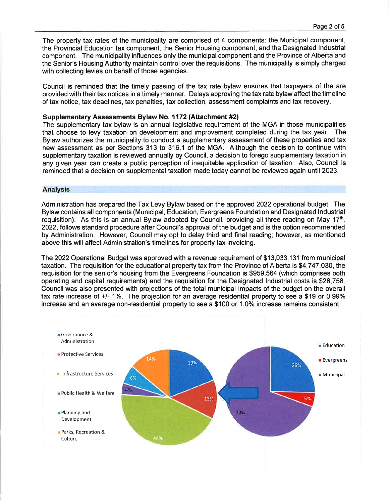The property tax rates of the municipality are comprised of 4 components: the Municipal component, the Provincial Education tax component, the Senior Housing component, and the Designated lndustrial component. The municipality influences only the municipalcomponent and the Province of Alberta and the Senior's Housing Authority maintain control over the requisitions. The municipality is simply charged with collecting levies on behalf of those agencies.

Council is reminded that the timely passing of the tax rate bylaw ensures that taxpayers of the are provided with their tax notices in a timely manner. Delays approving the tax rate bylaw affect the timeline of tax notice, tax deadlines, tax penalties, tax collection, assessment complaints and tax recovery.

#### Supplementary Assessments Bylaw No. 1172 (Attachment #2)

The supplementary tax bylaw is an annual legislative requirement of the MGA in those municipalities that choose to levy taxation on development and improvement completed during the tax year. The Bylaw authorizes the municipality to conduct a supplementary assessment of these properties and tax new assessment as per Sections 313 to 316.1 of the MGA. Although the decision to continue with supplementary taxation is reviewed annually by Council, a decision to forego supplementary taxation in any given year can create a public perception of inequitable application of taxation. Also, Council is reminded that a decision on supplemental taxation made today cannot be reviewed again until 2023.

#### Analysis

Administration has prepared the Tax Levy Bylaw based on the approved 2O22 operational budget. The Bylaw contains all components (Municipal, Education, Evergreens Foundation and Designated lndustrial requisition). As this is an annual Bylaw adopted by Council, providing all three reading on May  $17<sup>th</sup>$ , 2022,follows standard procedure after Council's approval of the budget and is the option recommended by Administration. However, Council may opt to delay third and final reading, however, as mentioned above this will affect Administration's timelines for property tax invoicing.

The 2022 Operational Budget was approved with a revenue requirement of \$13,033,131 from municipal taxation. The requisition for the educational property tax from the Province of Alberta is \$4,747,030, the requisition for the senior's housing from the Evergreens Foundation is \$959,564 (which comprises both operating and capital requirements) and the requisition for the Designated lndustrial costs is \$28,758. Council was also presented with projections of the total municipal impacts of the budget on the overall tax rate increase of +/- 1%. The projection for an average residential property to see a \$19 or 0.99% increase and an average non-residential property to see a \$100 or 1.0% increase remains consistent.

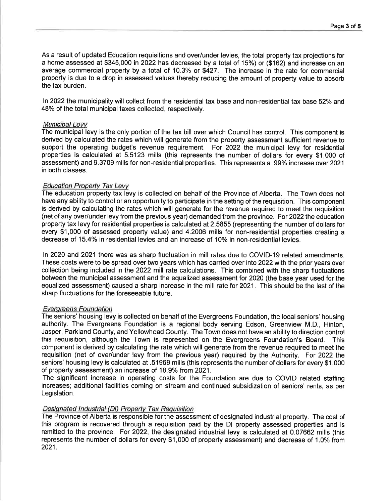As a result of updated Education requisitions and over/under levies, the total property tax projections for a home assessed at \$345,000 in 2022 has decreased by a total of 15%) or (\$162) and increase on an average commercial property by a total of 10.3% or \$427. The increase in the rate for commercial property is due to a drop in assessed values thereby reducing the amount of property value to absorb the tax burden.

In 2022 the municipality will collect from the residential tax base and non-residential tax base 52% and 48% of the total municipal taxes collected, respectively.

## Municipal Levv

The municipal levy is the only portion of the tax bill over which Council has control. This component is derived by calculated the rates which will generate from the property assessment sufficient revenue to support the operating budget's revenue requirement. For 2022 the municipal levy for residential properties is calculated at 5.5123 mills (this represents the number of dollars for every \$1,000 of assessment) and 9.3709 mills for non-residential properties. This represents a 39% increase over 2021 in both classes.

## **Education Property Tax Levy**

The education property tax levy is collected on behalf of the Province of Alberta. The Town does not have any ability to control or an opportunity to participate in the setting of the requisition. This component is derived by calculating the rates which will generate for the revenue required to meet the requisition (net of any over/under levy from the previous year) demanded from the province. For 2022 the education property tax levy for residential properties is calculated at 2.5855 (representing the number of dollars for every \$1,000 of assessed property value) and 4.2006 mills for non-residential properties creating a decrease of 15.4% in residential levies and an increase of 10% in non-residential levies.

ln 2020 and 2O21 there was as sharp fluctuation in mill rates due to COVID-19 related amendments. These costs were to be spread over two years which has carried over into 2022 with the prior years over collection being included in the 2022 mill rate calculations. This combined with the sharp fluctuations between the municipal assessment and the equalized assessment for 2020 (the base year used for the equalized assessment) caused a sharp increase in the mill rate for 2021 . This should be the last of the sharp fluctuations for the foreseeable future.

## Everqreens Foundation

The seniors' housing levy is collected on behalf of the Evergreens Foundation, the local seniors' housing authority. The Evergreens Foundation is a regional body serving Edson, Greenview M.D., Hinton, Jasper, Parkland County, and Yellowhead County. The Town does not have an ability to direction control this requisition, although the Town is represented on the Evergreens Foundation's Board. This component is derived by calculating the rate which will generate from the revenue required to meet the requisition (net of over/under levy from the previous year) required by the Authority. For 2022 the seniors' housing levy is calculated at .51969 mills (this represents the number of dollars for every \$1,000 of property assessment) an increase of 18.9% from 2021 .

The significant increase in operating costs for the Foundation are due to COVID related staffing increases; additional facilities coming on stream and continued subsidization of seniors' rents, as per Legislation.

## Designated Industrial (DI) Property Tax Requisition

The Province of Alberta is responsible for the assessment of designated industrial property. The cost of this program is recovered through a requisition paid by the Dl property assessed properties and is remitted to the province. For 2022, the designated industrial levy is calculated at 0.07662 mills (this represents the number of dollars for every \$1,000 of property assessment) and decrease of 1.0% from 2021.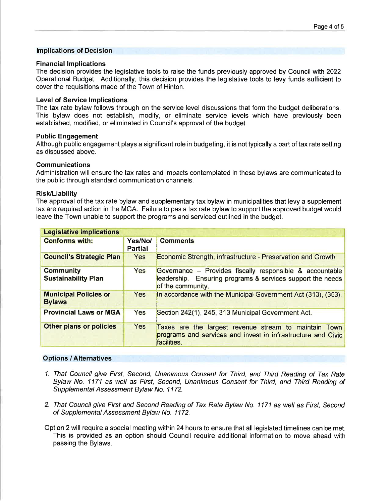#### ln plications of Decision

### **Financial Implications**

The decision provides the legislative tools to raise the funds previously approved by Council with 2022 Operational Budget. Additionally, this decision provides the legislative tools to levy funds sufficient to cover the requisitions made of the Town of Hinton.

### Level of Service lmplications

The tax rate bylaw follows through on the service level discussions that form the budget deliberations. This bylaw does not establish, modify, or eliminate service levels which have previously been established, modified, or eliminated in Council's approval of the budget.

#### Public Engagement

Although public engagement plays a significant role in budgeting, it is not typically a part of tax rate setting as discussed above.

## Communications

Administration will ensure the tax rates and impacts contemplated in these bylaws are communicated to the public through standard communication channels.

#### Risk/Liability

The approval of the tax rate bylaw and supplementary tax bylaw in municipalities that levy a supplement tax are required action in the MGA. Failure to pas a tax rate bylaw to support the approved budget would leave the Town unable to support the programs and serviced outlined in the budget.

| <b>Legislative Implications</b>                |                           |                                                                                                                                             |
|------------------------------------------------|---------------------------|---------------------------------------------------------------------------------------------------------------------------------------------|
| <b>Conforms with:</b>                          | Yes/No/<br><b>Partial</b> | <b>Comments</b>                                                                                                                             |
| <b>Council's Strategic Plan</b>                | <b>Yes</b>                | Economic Strength, infrastructure - Preservation and Growth                                                                                 |
| <b>Community</b><br><b>Sustainability Plan</b> | Yes                       | Governance - Provides fiscally responsible & accountable<br>leadership. Ensuring programs & services support the needs<br>of the community. |
| <b>Municipal Policies or</b><br><b>Bylaws</b>  | Yes                       | In accordance with the Municipal Government Act (313), (353).                                                                               |
| <b>Provincial Laws or MGA</b>                  | Yes                       | Section 242(1), 245, 313 Municipal Government Act.                                                                                          |
| <b>Other plans or policies</b>                 | <b>Yes</b>                | Taxes are the largest revenue stream to maintain Town<br>programs and services and invest in infrastructure and Civic<br>facilities.        |

## Options / Alternatives

- 1. That Council give First, Second, Unanimous Consent for Third, and Third Reading of Tax Rate Bylaw No. 1171 as well as First, Second, Unanimous Consent for Third, and Third Reading of Supplemental Assessment Bylaw No. 1172.
- 2. That Council give First and Second Reading of Tax Rate Bylaw No. 1171 as well as First, Second of Supplemental Assessment Bylaw No. 1172.

Option 2 will require a special meeting within 24 hours to ensure that all legislated timelines can be met. This is provided as an option should Council require additional information to move ahead with passing the Bylaws.